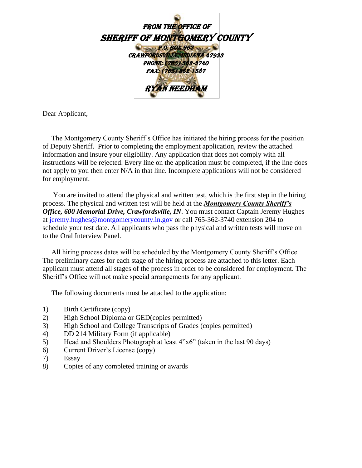

Dear Applicant,

 The Montgomery County Sheriff's Office has initiated the hiring process for the position of Deputy Sheriff. Prior to completing the employment application, review the attached information and insure your eligibility. Any application that does not comply with all instructions will be rejected. Every line on the application must be completed, if the line does not apply to you then enter N/A in that line. Incomplete applications will not be considered for employment.

 You are invited to attend the physical and written test, which is the first step in the hiring process. The physical and written test will be held at the *Montgomery County Sheriff's Office, 600 Memorial Drive, Crawfordsville, IN*. You must contact Captain Jeremy Hughes at [jeremy.hughes@montgomerycounty.in.gov](mailto:jeremy.hughes@montgomerycounty.in.gov) or call 765-362-3740 extension 204 to schedule your test date. All applicants who pass the physical and written tests will move on to the Oral Interview Panel.

 All hiring process dates will be scheduled by the Montgomery County Sheriff's Office. The preliminary dates for each stage of the hiring process are attached to this letter. Each applicant must attend all stages of the process in order to be considered for employment. The Sheriff's Office will not make special arrangements for any applicant.

The following documents must be attached to the application:

- 1) Birth Certificate (copy)
- 2) High School Diploma or GED(copies permitted)
- 3) High School and College Transcripts of Grades (copies permitted)
- 4) DD 214 Military Form (if applicable)
- 5) Head and Shoulders Photograph at least 4"x6" (taken in the last 90 days)
- 6) Current Driver's License (copy)
- 7) Essay
- 8) Copies of any completed training or awards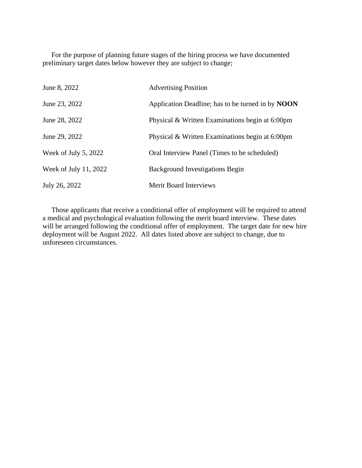For the purpose of planning future stages of the hiring process we have documented preliminary target dates below however they are subject to change;

| June 8, 2022          | <b>Advertising Position</b>                              |
|-----------------------|----------------------------------------------------------|
| June 23, 2022         | Application Deadline; has to be turned in by <b>NOON</b> |
| June 28, 2022         | Physical & Written Examinations begin at 6:00pm          |
| June 29, 2022         | Physical & Written Examinations begin at 6:00pm          |
| Week of July 5, 2022  | Oral Interview Panel (Times to be scheduled)             |
| Week of July 11, 2022 | <b>Background Investigations Begin</b>                   |
| July 26, 2022         | <b>Merit Board Interviews</b>                            |

 Those applicants that receive a conditional offer of employment will be required to attend a medical and psychological evaluation following the merit board interview. These dates will be arranged following the conditional offer of employment. The target date for new hire deployment will be August 2022. All dates listed above are subject to change, due to unforeseen circumstances.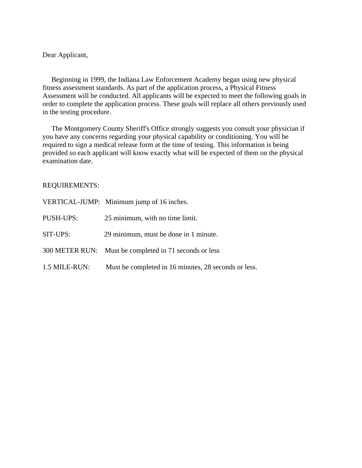Dear Applicant,

 Beginning in 1999, the Indiana Law Enforcement Academy began using new physical fitness assessment standards. As part of the application process, a Physical Fitness Assessment will be conducted. All applicants will be expected to meet the following goals in order to complete the application process. These goals will replace all others previously used in the testing procedure.

 The Montgomery County Sheriff's Office strongly suggests you consult your physician if you have any concerns regarding your physical capability or conditioning. You will be required to sign a medical release form at the time of testing. This information is being provided so each applicant will know exactly what will be expected of them on the physical examination date.

### REQUIREMENTS:

|               | VERTICAL-JUMP: Minimum jump of 16 inches.              |
|---------------|--------------------------------------------------------|
| PUSH-UPS:     | 25 minimum, with no time limit.                        |
| SIT-UPS:      | 29 minimum, must be done in 1 minute.                  |
|               | 300 METER RUN: Must be completed in 71 seconds or less |
| 1.5 MILE-RUN: | Must be completed in 16 minutes, 28 seconds or less.   |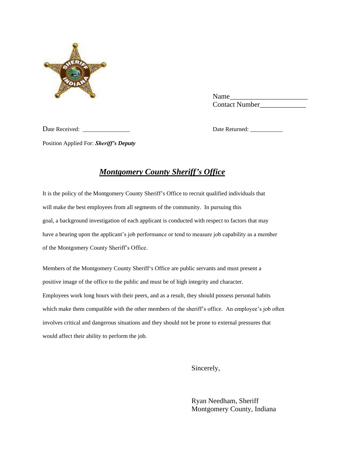

 Name\_\_\_\_\_\_\_\_\_\_\_\_\_\_\_\_\_\_\_\_\_\_ Contact Number\_\_\_\_\_\_\_\_\_\_\_\_\_

Date Received: \_\_\_\_\_\_\_\_\_\_\_\_\_\_\_\_ Date Returned: \_\_\_\_\_\_\_\_\_\_\_

Position Applied For: *Sheriff's Deputy*

# *Montgomery County Sheriff's Office*

It is the policy of the Montgomery County Sheriff's Office to recruit qualified individuals that will make the best employees from all segments of the community. In pursuing this goal, a background investigation of each applicant is conducted with respect to factors that may have a bearing upon the applicant's job performance or tend to measure job capability as a member of the Montgomery County Sheriff's Office.

Members of the Montgomery County Sheriff's Office are public servants and must present a positive image of the office to the public and must be of high integrity and character. Employees work long hours with their peers, and as a result, they should possess personal habits which make them compatible with the other members of the sheriff's office. An employee's job often involves critical and dangerous situations and they should not be prone to external pressures that would affect their ability to perform the job.

Sincerely,

 Ryan Needham, Sheriff Montgomery County, Indiana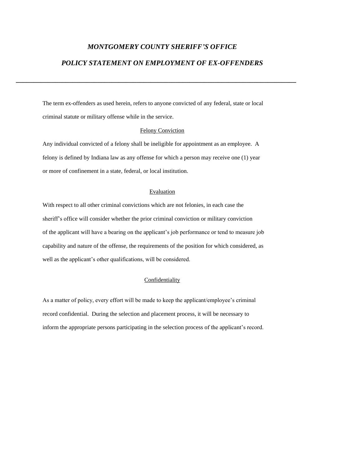### *MONTGOMERY COUNTY SHERIFF'S OFFICE*

### *POLICY STATEMENT ON EMPLOYMENT OF EX-OFFENDERS*

**\_\_\_\_\_\_\_\_\_\_\_\_\_\_\_\_\_\_\_\_\_\_\_\_\_\_\_\_\_\_\_\_\_\_\_\_\_\_\_\_\_\_\_\_\_\_\_\_\_\_\_\_\_\_\_\_\_\_\_\_\_\_\_\_\_\_\_\_\_\_\_\_\_\_\_\_\_\_\_**

The term ex-offenders as used herein, refers to anyone convicted of any federal, state or local criminal statute or military offense while in the service.

#### Felony Conviction

Any individual convicted of a felony shall be ineligible for appointment as an employee. A felony is defined by Indiana law as any offense for which a person may receive one (1) year or more of confinement in a state, federal, or local institution.

#### Evaluation

With respect to all other criminal convictions which are not felonies, in each case the sheriff's office will consider whether the prior criminal conviction or military conviction of the applicant will have a bearing on the applicant's job performance or tend to measure job capability and nature of the offense, the requirements of the position for which considered, as well as the applicant's other qualifications, will be considered.

#### **Confidentiality**

As a matter of policy, every effort will be made to keep the applicant/employee's criminal record confidential. During the selection and placement process, it will be necessary to inform the appropriate persons participating in the selection process of the applicant's record.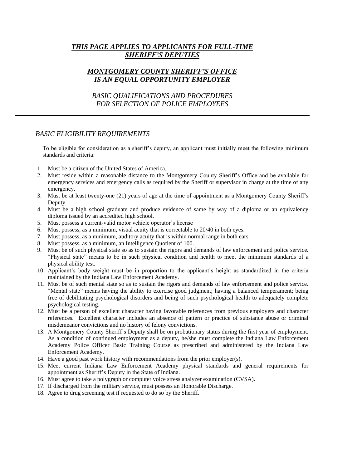## *THIS PAGE APPLIES TO APPLICANTS FOR FULL-TIME SHERIFF'S DEPUTIES*

## *MONTGOMERY COUNTY SHERIFF'S OFFICE IS AN EQUAL OPPORTUNITY EMPLOYER*

# *BASIC QUALIFICATIONS AND PROCEDURES FOR SELECTION OF POLICE EMPLOYEES*

### *BASIC ELIGIBILITY REQUIREMENTS*

To be eligible for consideration as a sheriff's deputy, an applicant must initially meet the following minimum standards and criteria:

- 1. Must be a citizen of the United States of America.
- 2. Must reside within a reasonable distance to the Montgomery County Sheriff's Office and be available for emergency services and emergency calls as required by the Sheriff or supervisor in charge at the time of any emergency.
- 3. Must be at least twenty-one (21) years of age at the time of appointment as a Montgomery County Sheriff's Deputy.
- 4. Must be a high school graduate and produce evidence of same by way of a diploma or an equivalency diploma issued by an accredited high school.
- 5. Must possess a current-valid motor vehicle operator's license
- 6. Must possess, as a minimum, visual acuity that is correctable to 20/40 in both eyes.
- 7. Must possess, as a minimum, auditory acuity that is within normal range in both ears.
- 8. Must possess, as a minimum, an Intelligence Quotient of 100.
- 9. Must be of such physical state so as to sustain the rigors and demands of law enforcement and police service. "Physical state" means to be in such physical condition and health to meet the minimum standards of a physical ability test.
- 10. Applicant's body weight must be in proportion to the applicant's height as standardized in the criteria maintained by the Indiana Law Enforcement Academy.
- 11. Must be of such mental state so as to sustain the rigors and demands of law enforcement and police service. "Mental state" means having the ability to exercise good judgment; having a balanced temperament; being free of debilitating psychological disorders and being of such psychological health to adequately complete psychological testing.
- 12. Must be a person of excellent character having favorable references from previous employers and character references. Excellent character includes an absence of pattern or practice of substance abuse or criminal misdemeanor convictions and no history of felony convictions.
- 13. A Montgomery County Sheriff's Deputy shall be on probationary status during the first year of employment. As a condition of continued employment as a deputy, he/she must complete the Indiana Law Enforcement Academy Police Officer Basic Training Course as prescribed and administered by the Indiana Law Enforcement Academy.
- 14. Have a good past work history with recommendations from the prior employer(s).
- 15. Meet current Indiana Law Enforcement Academy physical standards and general requirements for appointment as Sheriff's Deputy in the State of Indiana.
- 16. Must agree to take a polygraph or computer voice stress analyzer examination (CVSA).
- 17. If discharged from the military service, must possess an Honorable Discharge.
- 18. Agree to drug screening test if requested to do so by the Sheriff.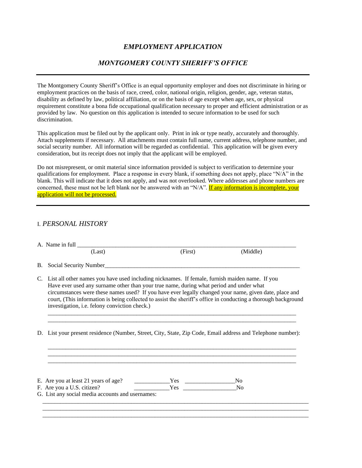### *EMPLOYMENT APPLICATION*

### *MONTGOMERY COUNTY SHERIFF'S OFFICE*

The Montgomery County Sheriff's Office is an equal opportunity employer and does not discriminate in hiring or employment practices on the basis of race, creed, color, national origin, religion, gender, age, veteran status, disability as defined by law, political affiliation, or on the basis of age except when age, sex, or physical requirement constitute a bona fide occupational qualification necessary to proper and efficient administration or as provided by law. No question on this application is intended to secure information to be used for such discrimination.

This application must be filed out by the applicant only. Print in ink or type neatly, accurately and thoroughly. Attach supplements if necessary. All attachments must contain full name, current address, telephone number, and social security number. All information will be regarded as confidential. This application will be given every consideration, but its receipt does not imply that the applicant will be employed.

Do not misrepresent, or omit material since information provided is subject to verification to determine your qualifications for employment. Place a response in every blank, if something does not apply, place "N/A" in the blank. This will indicate that it does not apply, and was not overlooked. Where addresses and phone numbers are concerned, these must not be left blank nor be answered with an "N/A". If any information is incomplete, your application will not be processed.

### I. *PERSONAL HISTORY*

| (Last)                                        | (First)                                                                                                                | (Middle)                                                                                                                                                                                                                                                                                                                                                                                                                                                                                                                                                        |
|-----------------------------------------------|------------------------------------------------------------------------------------------------------------------------|-----------------------------------------------------------------------------------------------------------------------------------------------------------------------------------------------------------------------------------------------------------------------------------------------------------------------------------------------------------------------------------------------------------------------------------------------------------------------------------------------------------------------------------------------------------------|
| Social Security Number                        |                                                                                                                        |                                                                                                                                                                                                                                                                                                                                                                                                                                                                                                                                                                 |
| investigation, i.e. felony conviction check.) |                                                                                                                        |                                                                                                                                                                                                                                                                                                                                                                                                                                                                                                                                                                 |
|                                               |                                                                                                                        |                                                                                                                                                                                                                                                                                                                                                                                                                                                                                                                                                                 |
|                                               |                                                                                                                        |                                                                                                                                                                                                                                                                                                                                                                                                                                                                                                                                                                 |
| B.                                            | E. Are you at least 21 years of age?<br>F. Are you a U.S. citizen?<br>G. List any social media accounts and usernames: | C. List all other names you have used including nicknames. If female, furnish maiden name. If you<br>Have ever used any surname other than your true name, during what period and under what<br>circumstances were these names used? If you have ever legally changed your name, given date, place and<br>court, (This information is being collected to assist the sheriff's office in conducting a thorough background<br>D. List your present residence (Number, Street, City, State, Zip Code, Email address and Telephone number):<br>$Yes$ No<br>$Yes$ No |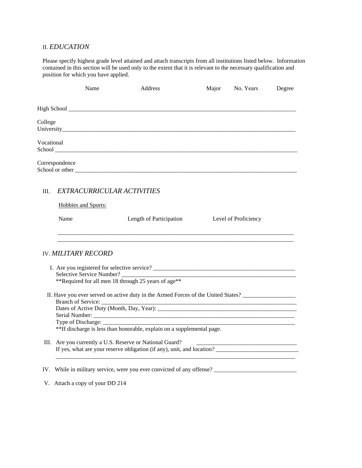# II. *EDUCATION*

Please specify highest grade level attained and attach transcripts from all institutions listed below. Information contained in this section will be used only to the extent that it is relevant to the necessary qualification and position for which you have applied.

|            | Name                            | Address                                                                                                                                                                                                                       | Major | No. Years            | Degree |
|------------|---------------------------------|-------------------------------------------------------------------------------------------------------------------------------------------------------------------------------------------------------------------------------|-------|----------------------|--------|
|            |                                 |                                                                                                                                                                                                                               |       |                      |        |
| College    |                                 |                                                                                                                                                                                                                               |       |                      |        |
| Vocational |                                 |                                                                                                                                                                                                                               |       |                      |        |
|            | Correspondence                  | School or other experience of the state of the state of the state of the state of the state of the state of the state of the state of the state of the state of the state of the state of the state of the state of the state |       |                      |        |
| Ш.         | EXTRACURRICULAR ACTIVITIES      |                                                                                                                                                                                                                               |       |                      |        |
|            | Hobbies and Sports:             |                                                                                                                                                                                                                               |       |                      |        |
|            | Name                            | Length of Participation                                                                                                                                                                                                       |       | Level of Proficiency |        |
|            | <b>IV. MILITARY RECORD</b>      |                                                                                                                                                                                                                               |       |                      |        |
|            |                                 | Selective Service Number?                                                                                                                                                                                                     |       |                      |        |
|            |                                 | **Required for all men 18 through 25 years of age**                                                                                                                                                                           |       |                      |        |
|            |                                 | II. Have you ever served on active duty in the Armed Forces of the United States? _________________<br>Dates of Active Duty (Month, Day, Year):                                                                               |       |                      |        |
|            |                                 |                                                                                                                                                                                                                               |       |                      |        |
|            |                                 | **If discharge is less than honorable, explain on a supplemental page.                                                                                                                                                        |       |                      |        |
|            |                                 | III. Are you currently a U.S. Reserve or National Guard?<br>If yes, what are your reserve obligation (if any), unit, and location?                                                                                            |       |                      |        |
|            |                                 |                                                                                                                                                                                                                               |       |                      |        |
|            | V. Attach a copy of your DD 214 |                                                                                                                                                                                                                               |       |                      |        |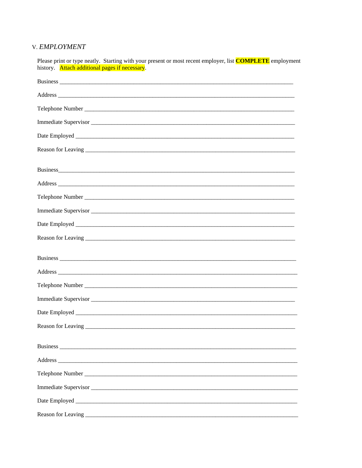# V. EMPLOYMENT

| Please print or type neatly. Starting with your present or most recent employer, list <b>COMPLETE</b> employment<br>history. Attach additional pages if necessary.                                                             |
|--------------------------------------------------------------------------------------------------------------------------------------------------------------------------------------------------------------------------------|
|                                                                                                                                                                                                                                |
|                                                                                                                                                                                                                                |
|                                                                                                                                                                                                                                |
|                                                                                                                                                                                                                                |
|                                                                                                                                                                                                                                |
| Reason for Leaving entry and the contract of the contract of the contract of the contract of the contract of the contract of the contract of the contract of the contract of the contract of the contract of the contract of t |
| Business experience and the set of the set of the set of the set of the set of the set of the set of the set of the set of the set of the set of the set of the set of the set of the set of the set of the set of the set of  |
|                                                                                                                                                                                                                                |
|                                                                                                                                                                                                                                |
| Immediate Supervisor                                                                                                                                                                                                           |
|                                                                                                                                                                                                                                |
|                                                                                                                                                                                                                                |
|                                                                                                                                                                                                                                |
|                                                                                                                                                                                                                                |
|                                                                                                                                                                                                                                |
|                                                                                                                                                                                                                                |
|                                                                                                                                                                                                                                |
| Reason for Leaving                                                                                                                                                                                                             |
|                                                                                                                                                                                                                                |
|                                                                                                                                                                                                                                |
|                                                                                                                                                                                                                                |
|                                                                                                                                                                                                                                |
|                                                                                                                                                                                                                                |
|                                                                                                                                                                                                                                |
|                                                                                                                                                                                                                                |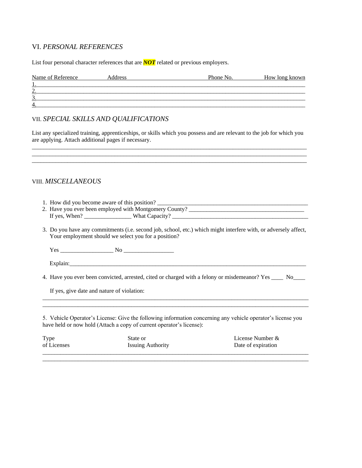### VI. *PERSONAL REFERENCES*

List four personal character references that are *NOT* related or previous employers.

| Name of Reference | Address | Phone No. | How long known |
|-------------------|---------|-----------|----------------|
|                   |         |           |                |
| ⌒<br>، ،          |         |           |                |
| ⌒<br>J .          |         |           |                |
| 4.                |         |           |                |

### VII. *SPECIAL SKILLS AND QUALIFICATIONS*

List any specialized training, apprenticeships, or skills which you possess and are relevant to the job for which you are applying. Attach additional pages if necessary. \_\_\_\_\_\_\_\_\_\_\_\_\_\_\_\_\_\_\_\_\_\_\_\_\_\_\_\_\_\_\_\_\_\_\_\_\_\_\_\_\_\_\_\_\_\_\_\_\_\_\_\_\_\_\_\_\_\_\_\_\_\_\_\_\_\_\_\_\_\_\_\_\_\_\_\_\_\_\_\_\_\_\_\_\_\_\_\_\_\_\_\_\_

 $\_$  ,  $\_$  ,  $\_$  ,  $\_$  ,  $\_$  ,  $\_$  ,  $\_$  ,  $\_$  ,  $\_$  ,  $\_$  ,  $\_$  ,  $\_$  ,  $\_$  ,  $\_$  ,  $\_$  ,  $\_$  ,  $\_$  ,  $\_$  ,  $\_$  ,  $\_$  ,  $\_$  ,  $\_$  ,  $\_$  ,  $\_$  ,  $\_$  ,  $\_$  ,  $\_$  ,  $\_$  ,  $\_$  ,  $\_$  ,  $\_$  ,  $\_$  ,  $\_$  ,  $\_$  ,  $\_$  ,  $\_$  ,  $\_$  ,

### VIII. *MISCELLANEOUS*

- 1. How did you become aware of this position?
- 2. Have you ever been employed with Montgomery County? If yes, When? \_\_\_\_\_\_\_\_\_\_\_\_\_\_\_\_ What Capacity? \_\_\_\_\_\_\_\_\_\_\_\_\_\_\_\_\_\_\_\_\_\_\_\_\_\_\_\_\_\_\_\_\_\_\_\_\_\_\_\_\_\_\_\_\_\_
- 3. Do you have any commitments (i.e. second job, school, etc.) which might interfere with, or adversely affect, Your employment should we select you for a position?

Yes \_\_\_\_\_\_\_\_\_\_\_\_\_\_\_\_\_\_ No \_\_\_\_\_\_\_\_\_\_\_\_\_\_\_\_\_

Explain:

4. Have you ever been convicted, arrested, cited or charged with a felony or misdemeanor? Yes No

If yes, give date and nature of violation:

5. Vehicle Operator's License: Give the following information concerning any vehicle operator's license you have held or now hold (Attach a copy of current operator's license):

\_\_\_\_\_\_\_\_\_\_\_\_\_\_\_\_\_\_\_\_\_\_\_\_\_\_\_\_\_\_\_\_\_\_\_\_\_\_\_\_\_\_\_\_\_\_\_\_\_\_\_\_\_\_\_\_\_\_\_\_\_\_\_\_\_\_\_\_\_\_\_\_\_\_\_\_\_\_\_\_\_\_\_\_\_\_\_\_\_\_ \_\_\_\_\_\_\_\_\_\_\_\_\_\_\_\_\_\_\_\_\_\_\_\_\_\_\_\_\_\_\_\_\_\_\_\_\_\_\_\_\_\_\_\_\_\_\_\_\_\_\_\_\_\_\_\_\_\_\_\_\_\_\_\_\_\_\_\_\_\_\_\_\_\_\_\_\_\_\_\_\_\_\_\_\_\_\_\_\_\_

| <b>Type</b> | State or                 | License Number &   |
|-------------|--------------------------|--------------------|
| of Licenses | <b>Issuing Authority</b> | Date of expiration |
|             |                          |                    |

\_\_\_\_\_\_\_\_\_\_\_\_\_\_\_\_\_\_\_\_\_\_\_\_\_\_\_\_\_\_\_\_\_\_\_\_\_\_\_\_\_\_\_\_\_\_\_\_\_\_\_\_\_\_\_\_\_\_\_\_\_\_\_\_\_\_\_\_\_\_\_\_\_\_\_\_\_\_\_\_\_\_\_\_\_\_\_\_\_\_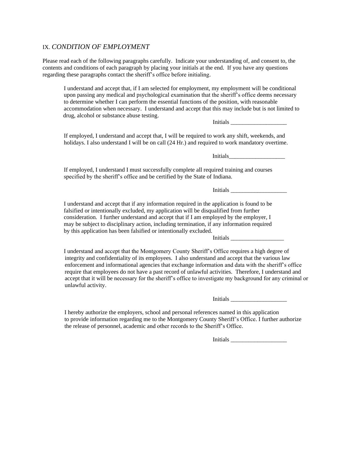#### IX. *CONDITION OF EMPLOYMENT*

Please read each of the following paragraphs carefully. Indicate your understanding of, and consent to, the contents and conditions of each paragraph by placing your initials at the end. If you have any questions regarding these paragraphs contact the sheriff's office before initialing.

I understand and accept that, if I am selected for employment, my employment will be conditional upon passing any medical and psychological examination that the sheriff's office deems necessary to determine whether I can perform the essential functions of the position, with reasonable accommodation when necessary. I understand and accept that this may include but is not limited to drug, alcohol or substance abuse testing.

Initials

If employed, I understand and accept that, I will be required to work any shift, weekends, and holidays. I also understand I will be on call (24 Hr.) and required to work mandatory overtime.

 $\rm{Initials}\_\perp$ 

If employed, I understand I must successfully complete all required training and courses specified by the sheriff's office and be certified by the State of Indiana.

Initials  $\blacksquare$ 

I understand and accept that if any information required in the application is found to be falsified or intentionally excluded, my application will be disqualified from further consideration. I further understand and accept that if I am employed by the employer, I may be subject to disciplinary action, including termination, if any information required by this application has been falsified or intentionally excluded.

Initials \_\_\_\_\_\_\_\_\_\_\_\_\_\_\_\_\_\_

I understand and accept that the Montgomery County Sheriff's Office requires a high degree of integrity and confidentiality of its employees. I also understand and accept that the various law enforcement and informational agencies that exchange information and data with the sheriff's office require that employees do not have a past record of unlawful activities. Therefore, I understand and accept that it will be necessary for the sheriff's office to investigate my background for any criminal or unlawful activity.

Initials

 I hereby authorize the employers, school and personal references named in this application to provide information regarding me to the Montgomery County Sheriff's Office. I further authorize the release of personnel, academic and other records to the Sheriff's Office.

Initials  $\overline{\phantom{a}}$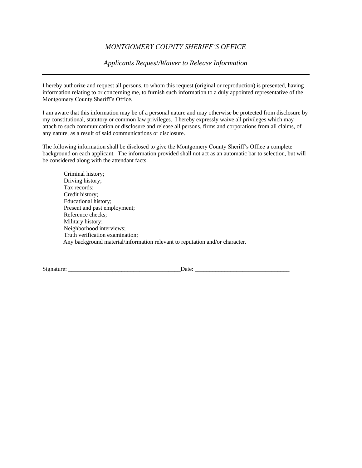### *MONTGOMERY COUNTY SHERIFF'S OFFICE*

*Applicants Request/Waiver to Release Information*

I hereby authorize and request all persons, to whom this request (original or reproduction) is presented, having information relating to or concerning me, to furnish such information to a duly appointed representative of the Montgomery County Sheriff's Office.

I am aware that this information may be of a personal nature and may otherwise be protected from disclosure by my constitutional, statutory or common law privileges. I hereby expressly waive all privileges which may attach to such communication or disclosure and release all persons, firms and corporations from all claims, of any nature, as a result of said communications or disclosure.

The following information shall be disclosed to give the Montgomery County Sheriff's Office a complete background on each applicant. The information provided shall not act as an automatic bar to selection, but will be considered along with the attendant facts.

Criminal history; Driving history; Tax records; Credit history; Educational history; Present and past employment; Reference checks; Military history; Neighborhood interviews; Truth verification examination; Any background material/information relevant to reputation and/or character.

Signature: \_\_\_\_\_\_\_\_\_\_\_\_\_\_\_\_\_\_\_\_\_\_\_\_\_\_\_\_\_\_\_\_\_\_\_\_\_\_Date: \_\_\_\_\_\_\_\_\_\_\_\_\_\_\_\_\_\_\_\_\_\_\_\_\_\_\_\_\_\_\_\_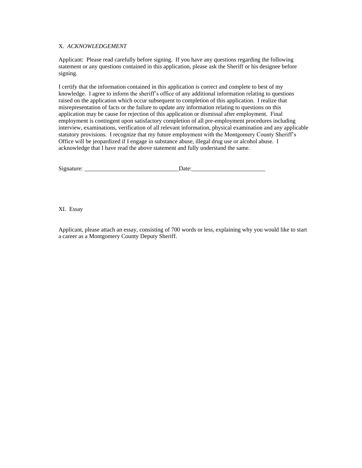#### X. *ACKNOWLEDGEMENT*

Applicant: Please read carefully before signing. If you have any questions regarding the following statement or any questions contained in this application, please ask the Sheriff or his designee before signing.

I certify that the information contained in this application is correct and complete to best of my knowledge. I agree to inform the sheriff's office of any additional information relating to questions raised on the application which occur subsequent to completion of this application. I realize that misrepresentation of facts or the failure to update any information relating to questions on this application may be cause for rejection of this application or dismissal after employment. Final employment is contingent upon satisfactory completion of all pre-employment procedures including interview, examinations, verification of all relevant information, physical examination and any applicable statutory provisions. I recognize that my future employment with the Montgomery County Sheriff's Office will be jeopardized if I engage in substance abuse, illegal drug use or alcohol abuse. I acknowledge that I have read the above statement and fully understand the same.

| Si <sub>2</sub> |  |
|-----------------|--|
|                 |  |
|                 |  |
|                 |  |

XI. Essay

Applicant, please attach an essay, consisting of 700 words or less, explaining why you would like to start a career as a Montgomery County Deputy Sheriff.